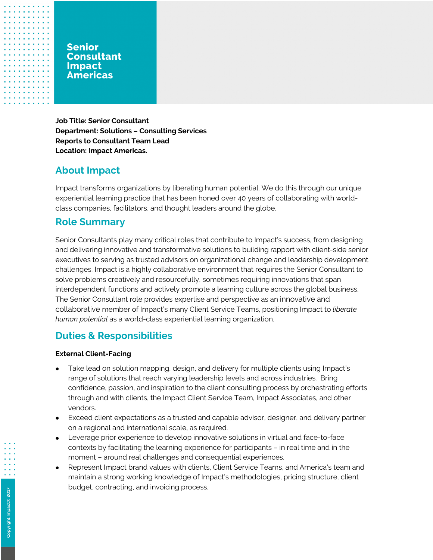### **Senior Consultant Impact Americas**

**Job Title: Senior Consultant Department: Solutions – Consulting Services Reports to Consultant Team Lead Location: Impact Americas.** 

# **About Impact**

Impact transforms organizations by liberating human potential. We do this through our unique experiential learning practice that has been honed over 40 years of collaborating with worldclass companies, facilitators, and thought leaders around the globe.

## **Role Summary**

Senior Consultants play many critical roles that contribute to Impact's success, from designing and delivering innovative and transformative solutions to building rapport with client-side senior executives to serving as trusted advisors on organizational change and leadership development challenges. Impact is a highly collaborative environment that requires the Senior Consultant to solve problems creatively and resourcefully, sometimes requiring innovations that span interdependent functions and actively promote a learning culture across the global business. The Senior Consultant role provides expertise and perspective as an innovative and collaborative member of Impact's many Client Service Teams, positioning Impact to *liberate human potential* as a world-class experiential learning organization.

# **Duties & Responsibilities**

#### **External Client-Facing**

- Take lead on solution mapping, design, and delivery for multiple clients using Impact's range of solutions that reach varying leadership levels and across industries. Bring confidence, passion, and inspiration to the client consulting process by orchestrating efforts through and with clients, the Impact Client Service Team, Impact Associates, and other vendors.
- Exceed client expectations as a trusted and capable advisor, designer, and delivery partner on a regional and international scale, as required.
- Leverage prior experience to develop innovative solutions in virtual and face-to-face contexts by facilitating the learning experience for participants – in real time and in the moment – around real challenges and consequential experiences.
- Represent Impact brand values with clients, Client Service Teams, and America's team and maintain a strong working knowledge of Impact's methodologies, pricing structure, client budget, contracting, and invoicing process.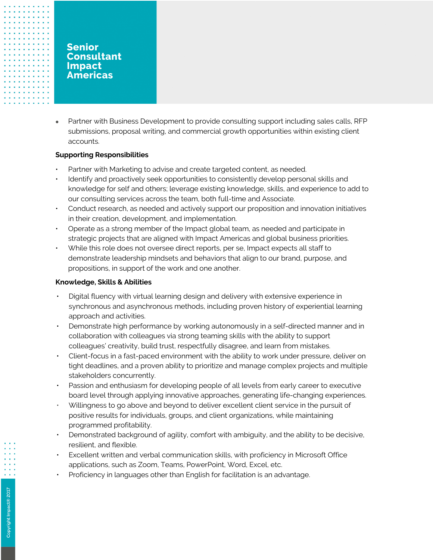• Partner with Business Development to provide consulting support including sales calls, RFP submissions, proposal writing, and commercial growth opportunities within existing client accounts.

#### **Supporting Responsibilities**

- Partner with Marketing to advise and create targeted content, as needed.
- Identify and proactively seek opportunities to consistently develop personal skills and knowledge for self and others; leverage existing knowledge, skills, and experience to add to our consulting services across the team, both full-time and Associate.
- Conduct research, as needed and actively support our proposition and innovation initiatives in their creation, development, and implementation.
- Operate as a strong member of the Impact global team, as needed and participate in strategic projects that are aligned with Impact Americas and global business priorities.
- While this role does not oversee direct reports, per se, Impact expects all staff to demonstrate leadership mindsets and behaviors that align to our brand, purpose, and propositions, in support of the work and one another.

#### **Knowledge, Skills & Abilities**

- Digital fluency with virtual learning design and delivery with extensive experience in synchronous and asynchronous methods, including proven history of experiential learning approach and activities.
- Demonstrate high performance by working autonomously in a self-directed manner and in collaboration with colleagues via strong teaming skills with the ability to support colleagues' creativity, build trust, respectfully disagree, and learn from mistakes.
- Client-focus in a fast-paced environment with the ability to work under pressure, deliver on tight deadlines, and a proven ability to prioritize and manage complex projects and multiple stakeholders concurrently.
- Passion and enthusiasm for developing people of all levels from early career to executive board level through applying innovative approaches, generating life-changing experiences.
- Willingness to go above and beyond to deliver excellent client service in the pursuit of positive results for individuals, groups, and client organizations, while maintaining programmed profitability.
- Demonstrated background of agility, comfort with ambiguity, and the ability to be decisive, resilient, and flexible.
- Excellent written and verbal communication skills, with proficiency in Microsoft Office applications, such as Zoom, Teams, PowerPoint, Word, Excel, etc.
- Proficiency in languages other than English for facilitation is an advantage.